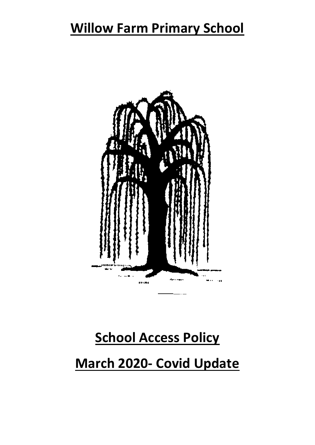## **Willow Farm Primary School**



# **School Access Policy**

# **March 2020- Covid Update**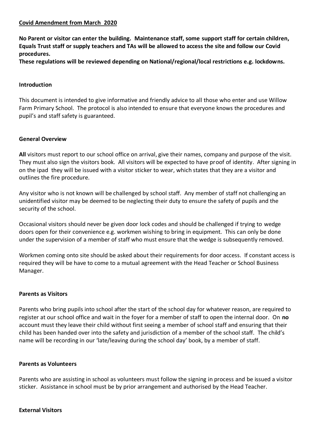### **Covid Amendment from March 2020**

**No Parent or visitor can enter the building. Maintenance staff, some support staff for certain children, Equals Trust staff or supply teachers and TAs will be allowed to access the site and follow our Covid procedures.** 

**These regulations will be reviewed depending on National/regional/local restrictions e.g. lockdowns.** 

#### **Introduction**

This document is intended to give informative and friendly advice to all those who enter and use Willow Farm Primary School. The protocol is also intended to ensure that everyone knows the procedures and pupil's and staff safety is guaranteed.

#### **General Overview**

**All** visitors must report to our school office on arrival, give their names, company and purpose of the visit. They must also sign the visitors book. All visitors will be expected to have proof of identity. After signing in on the ipad they will be issued with a visitor sticker to wear, which states that they are a visitor and outlines the fire procedure.

Any visitor who is not known will be challenged by school staff. Any member of staff not challenging an unidentified visitor may be deemed to be neglecting their duty to ensure the safety of pupils and the security of the school.

Occasional visitors should never be given door lock codes and should be challenged if trying to wedge doors open for their convenience e.g. workmen wishing to bring in equipment. This can only be done under the supervision of a member of staff who must ensure that the wedge is subsequently removed.

Workmen coming onto site should be asked about their requirements for door access. If constant access is required they will be have to come to a mutual agreement with the Head Teacher or School Business Manager.

### **Parents as Visitors**

Parents who bring pupils into school after the start of the school day for whatever reason, are required to register at our school office and wait in the foyer for a member of staff to open the internal door. On **no** account must they leave their child without first seeing a member of school staff and ensuring that their child has been handed over into the safety and jurisdiction of a member of the school staff. The child's name will be recording in our 'late/leaving during the school day' book, by a member of staff.

#### **Parents as Volunteers**

Parents who are assisting in school as volunteers must follow the signing in process and be issued a visitor sticker. Assistance in school must be by prior arrangement and authorised by the Head Teacher.